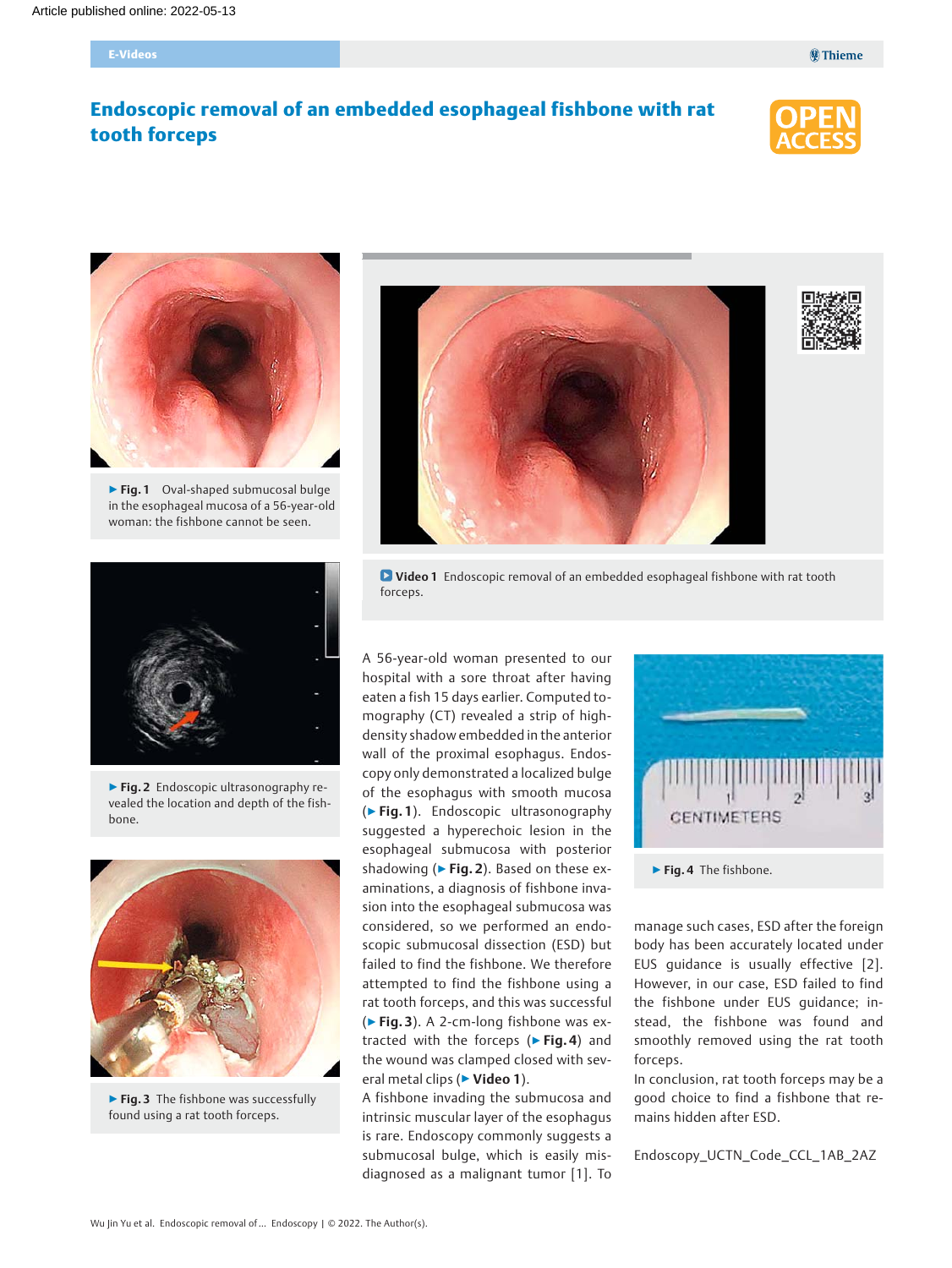# Endoscopic removal of an embedded esophageal fishbone with rat tooth forceps





▶ Fig. 1 Oval-shaped submucosal bulge in the esophageal mucosa of a 56-year-old woman: the fishbone cannot be seen.







▶ Fig. 2 Endoscopic ultrasonography revealed the location and depth of the fishbone.



▶ Fig. 3 The fishbone was successfully found using a rat tooth forceps.

**D** Video 1 Endoscopic removal of an embedded esophageal fishbone with rat tooth forceps.

A 56-year-old woman presented to our hospital with a sore throat after having eaten a fish 15 days earlier. Computed tomography (CT) revealed a strip of highdensity shadow embedded in the anterior wall of the proximal esophagus. Endoscopy only demonstrated a localized bulge of the esophagus with smooth mucosa (▶Fig. 1). Endoscopic ultrasonography suggested a hyperechoic lesion in the esophageal submucosa with posterior shadowing ( $\triangleright$  Fig. 2). Based on these examinations, a diagnosis of fishbone invasion into the esophageal submucosa was considered, so we performed an endoscopic submucosal dissection (ESD) but failed to find the fishbone. We therefore attempted to find the fishbone using a rat tooth forceps, and this was successful (▶Fig. 3). A 2-cm-long fishbone was extracted with the forceps ( $\triangleright$  Fig. 4) and the wound was clamped closed with several metal clips (► Video 1).

A fishbone invading the submucosa and intrinsic muscular layer of the esophagus is rare. Endoscopy commonly suggests a submucosal bulge, which is easily misdiagnosed as a malignant tumor [1]. To



▶ Fig. 4 The fishbone.

manage such cases, ESD after the foreign body has been accurately located under EUS guidance is usually effective [2]. However, in our case, ESD failed to find the fishbone under EUS guidance; instead, the fishbone was found and smoothly removed using the rat tooth forceps.

In conclusion, rat tooth forceps may be a good choice to find a fishbone that remains hidden after ESD.

Endoscopy\_UCTN\_Code\_CCL\_1AB\_2AZ